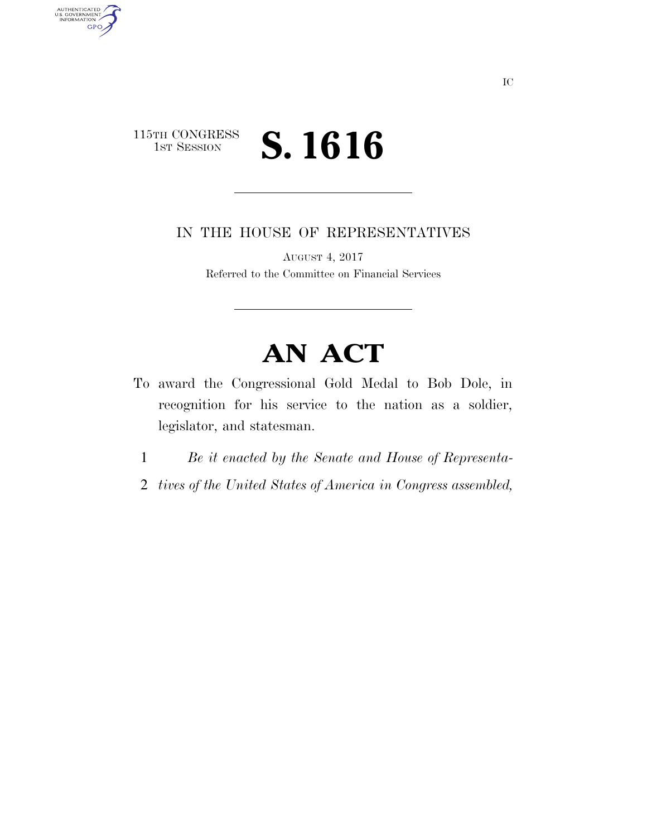## 115TH CONGRESS<br>1st Session S. 1616

AUTHENTICATED<br>U.S. GOVERNMENT<br>INFORMATION

**GPO** 

IN THE HOUSE OF REPRESENTATIVES

AUGUST 4, 2017 Referred to the Committee on Financial Services

# **AN ACT**

- To award the Congressional Gold Medal to Bob Dole, in recognition for his service to the nation as a soldier, legislator, and statesman.
	- 1 *Be it enacted by the Senate and House of Representa-*
	- 2 *tives of the United States of America in Congress assembled,*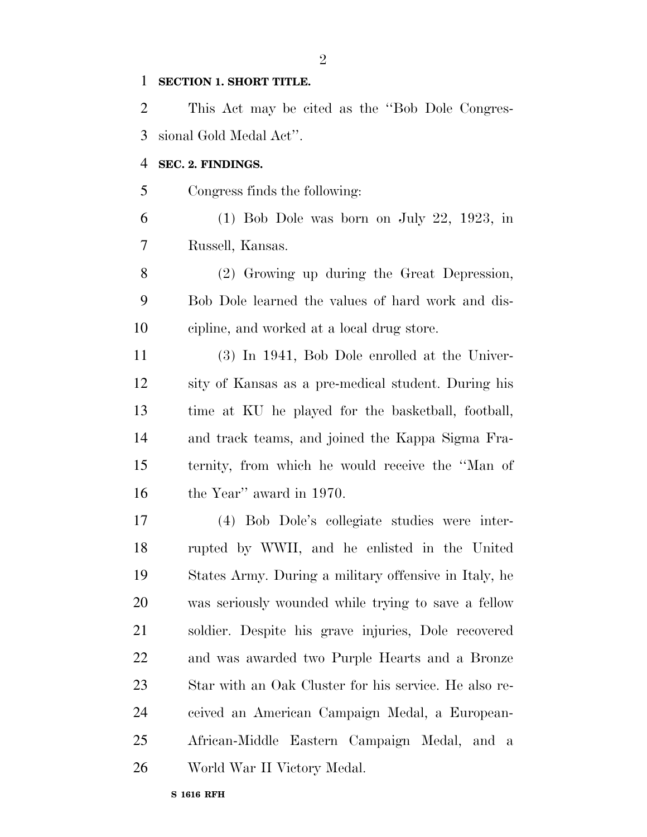#### **SECTION 1. SHORT TITLE.**

 This Act may be cited as the ''Bob Dole Congres-sional Gold Medal Act''.

#### **SEC. 2. FINDINGS.**

Congress finds the following:

 (1) Bob Dole was born on July 22, 1923, in Russell, Kansas.

 (2) Growing up during the Great Depression, Bob Dole learned the values of hard work and dis-cipline, and worked at a local drug store.

 (3) In 1941, Bob Dole enrolled at the Univer- sity of Kansas as a pre-medical student. During his time at KU he played for the basketball, football, and track teams, and joined the Kappa Sigma Fra- ternity, from which he would receive the ''Man of the Year'' award in 1970.

 (4) Bob Dole's collegiate studies were inter- rupted by WWII, and he enlisted in the United States Army. During a military offensive in Italy, he was seriously wounded while trying to save a fellow soldier. Despite his grave injuries, Dole recovered and was awarded two Purple Hearts and a Bronze Star with an Oak Cluster for his service. He also re- ceived an American Campaign Medal, a European- African-Middle Eastern Campaign Medal, and a World War II Victory Medal.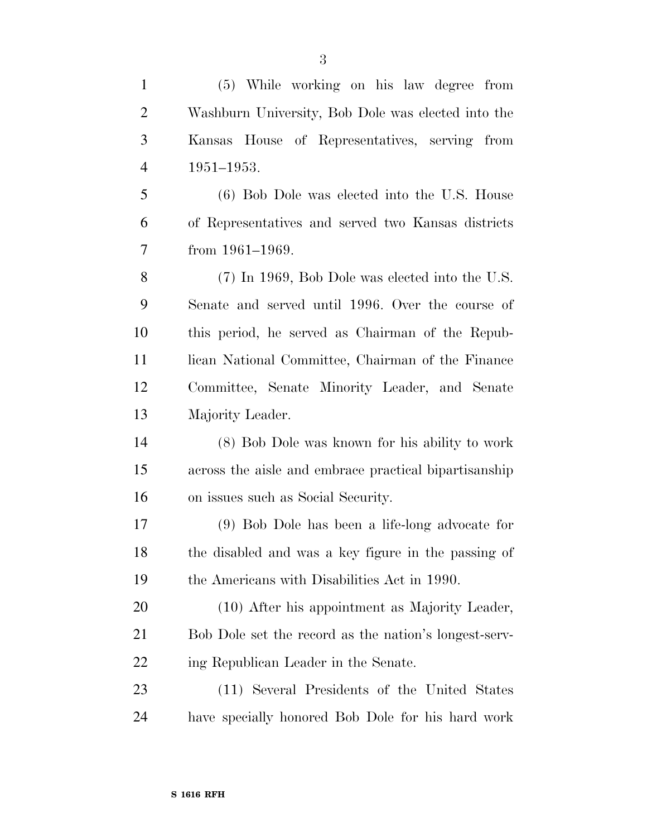Washburn University, Bob Dole was elected into the Kansas House of Representatives, serving from 1951–1953. (6) Bob Dole was elected into the U.S. House of Representatives and served two Kansas districts from 1961–1969. (7) In 1969, Bob Dole was elected into the U.S. Senate and served until 1996. Over the course of this period, he served as Chairman of the Repub-11 lican National Committee, Chairman of the Finance Committee, Senate Minority Leader, and Senate Majority Leader. (8) Bob Dole was known for his ability to work across the aisle and embrace practical bipartisanship on issues such as Social Security. (9) Bob Dole has been a life-long advocate for the disabled and was a key figure in the passing of the Americans with Disabilities Act in 1990. (10) After his appointment as Majority Leader, Bob Dole set the record as the nation's longest-serv-22 ing Republican Leader in the Senate. (11) Several Presidents of the United States have specially honored Bob Dole for his hard work

(5) While working on his law degree from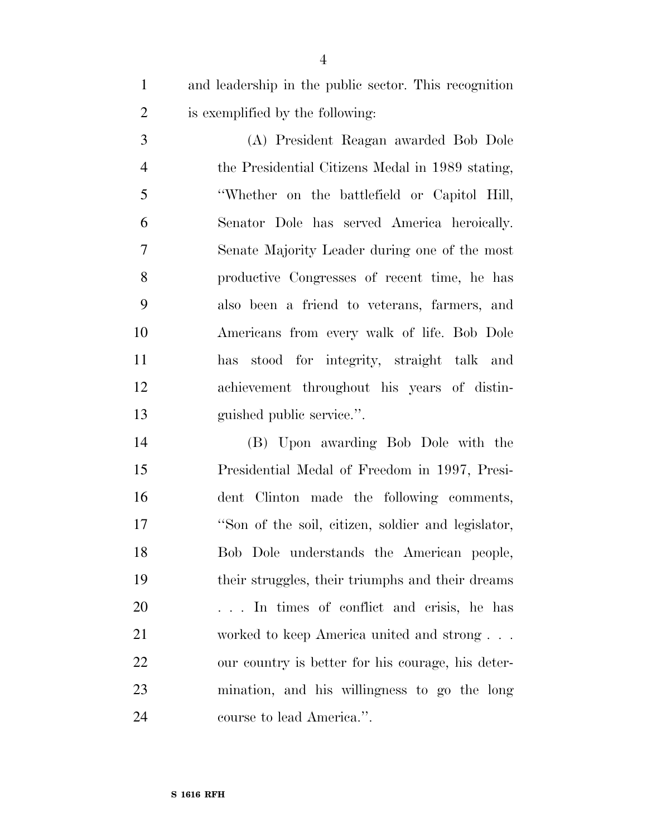and leadership in the public sector. This recognition is exemplified by the following:

 (A) President Reagan awarded Bob Dole the Presidential Citizens Medal in 1989 stating, ''Whether on the battlefield or Capitol Hill, Senator Dole has served America heroically. Senate Majority Leader during one of the most productive Congresses of recent time, he has also been a friend to veterans, farmers, and Americans from every walk of life. Bob Dole has stood for integrity, straight talk and achievement throughout his years of distin-guished public service.''.

 (B) Upon awarding Bob Dole with the Presidential Medal of Freedom in 1997, Presi- dent Clinton made the following comments, ''Son of the soil, citizen, soldier and legislator, Bob Dole understands the American people, their struggles, their triumphs and their dreams . . . In times of conflict and crisis, he has worked to keep America united and strong . . . our country is better for his courage, his deter- mination, and his willingness to go the long course to lead America.''.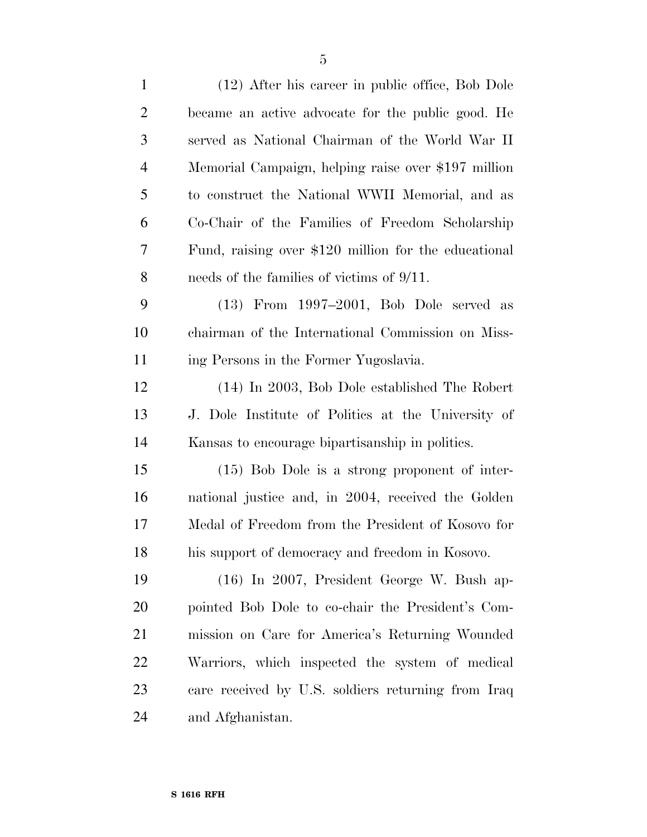| $\mathbf{1}$   | (12) After his career in public office, Bob Dole     |
|----------------|------------------------------------------------------|
| $\overline{2}$ | became an active advocate for the public good. He    |
| 3              | served as National Chairman of the World War II      |
| $\overline{4}$ | Memorial Campaign, helping raise over \$197 million  |
| 5              | to construct the National WWII Memorial, and as      |
| 6              | Co-Chair of the Families of Freedom Scholarship      |
| 7              | Fund, raising over \$120 million for the educational |
| 8              | needs of the families of victims of $9/11$ .         |
| 9              | $(13)$ From $1997-2001$ , Bob Dole served as         |
| 10             | chairman of the International Commission on Miss-    |
| 11             | ing Persons in the Former Yugoslavia.                |
| 12             | (14) In 2003, Bob Dole established The Robert        |
| 13             | J. Dole Institute of Politics at the University of   |
| 14             | Kansas to encourage bipartisanship in politics.      |
| 15             | $(15)$ Bob Dole is a strong proponent of inter-      |
| 16             | national justice and, in 2004, received the Golden   |
| 17             | Medal of Freedom from the President of Kosovo for    |
| 18             | his support of democracy and freedom in Kosovo.      |
| 19             | (16) In 2007, President George W. Bush ap-           |
| 20             | pointed Bob Dole to co-chair the President's Com-    |
| 21             | mission on Care for America's Returning Wounded      |
| 22             | Warriors, which inspected the system of medical      |
| 23             | care received by U.S. soldiers returning from Iraq   |
| 24             | and Afghanistan.                                     |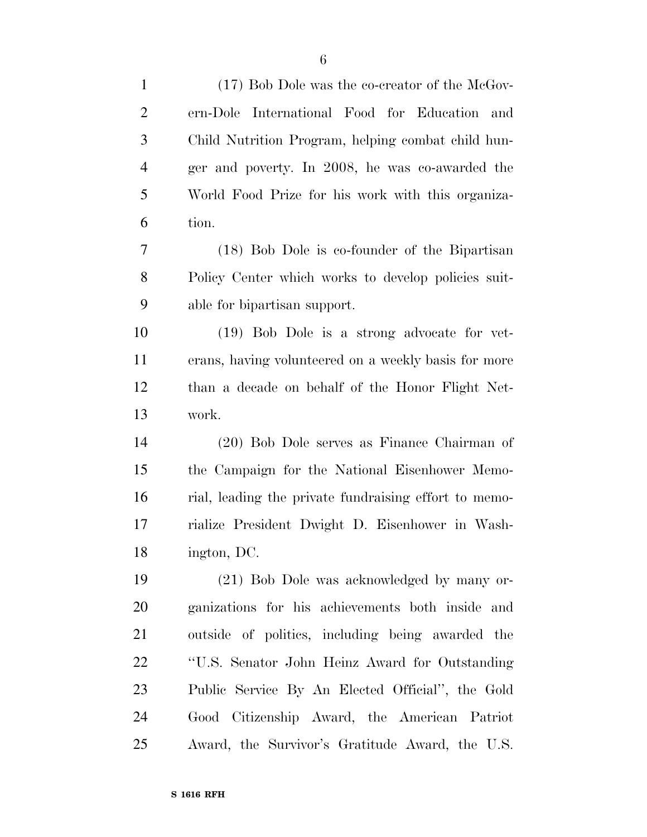| $\mathbf{1}$   | (17) Bob Dole was the co-creator of the McGov-        |
|----------------|-------------------------------------------------------|
| $\overline{2}$ | International Food for Education<br>ern-Dole<br>and   |
| 3              | Child Nutrition Program, helping combat child hun-    |
| $\overline{4}$ | ger and poverty. In 2008, he was co-awarded the       |
| 5              | World Food Prize for his work with this organiza-     |
| 6              | tion.                                                 |
| 7              | (18) Bob Dole is co-founder of the Bipartisan         |
| 8              | Policy Center which works to develop policies suit-   |
| 9              | able for bipartisan support.                          |
| 10             | (19) Bob Dole is a strong advocate for vet-           |
| 11             | erans, having volunteered on a weekly basis for more  |
| 12             | than a decade on behalf of the Honor Flight Net-      |
| 13             | work.                                                 |
| 14             | (20) Bob Dole serves as Finance Chairman of           |
| 15             | the Campaign for the National Eisenhower Memo-        |
| 16             | rial, leading the private fundraising effort to memo- |
| 17             | rialize President Dwight D. Eisenhower in Wash-       |
| 18             | ington, DC.                                           |
| 19             | (21) Bob Dole was acknowledged by many or-            |
| <b>20</b>      | ganizations for his achievements both inside and      |
| 21             | outside of politics, including being awarded the      |
| 22             | "U.S. Senator John Heinz Award for Outstanding        |
| 23             | Public Service By An Elected Official", the Gold      |
| 24             | Good Citizenship Award, the American Patriot          |
| 25             | Award, the Survivor's Gratitude Award, the U.S.       |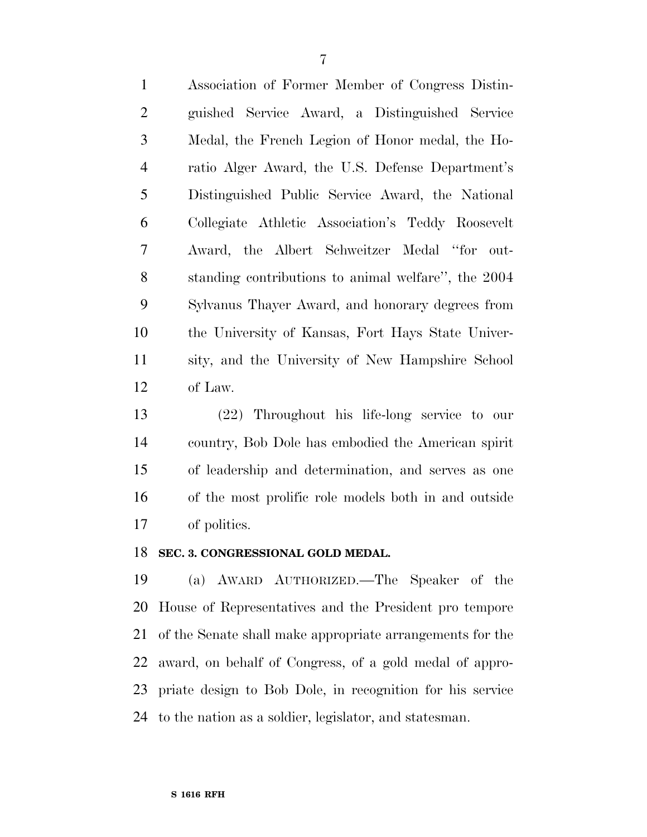Association of Former Member of Congress Distin- guished Service Award, a Distinguished Service Medal, the French Legion of Honor medal, the Ho- ratio Alger Award, the U.S. Defense Department's Distinguished Public Service Award, the National Collegiate Athletic Association's Teddy Roosevelt Award, the Albert Schweitzer Medal ''for out- standing contributions to animal welfare'', the 2004 Sylvanus Thayer Award, and honorary degrees from the University of Kansas, Fort Hays State Univer- sity, and the University of New Hampshire School of Law.

 (22) Throughout his life-long service to our country, Bob Dole has embodied the American spirit of leadership and determination, and serves as one of the most prolific role models both in and outside of politics.

#### **SEC. 3. CONGRESSIONAL GOLD MEDAL.**

 (a) AWARD AUTHORIZED.—The Speaker of the House of Representatives and the President pro tempore of the Senate shall make appropriate arrangements for the award, on behalf of Congress, of a gold medal of appro- priate design to Bob Dole, in recognition for his service to the nation as a soldier, legislator, and statesman.